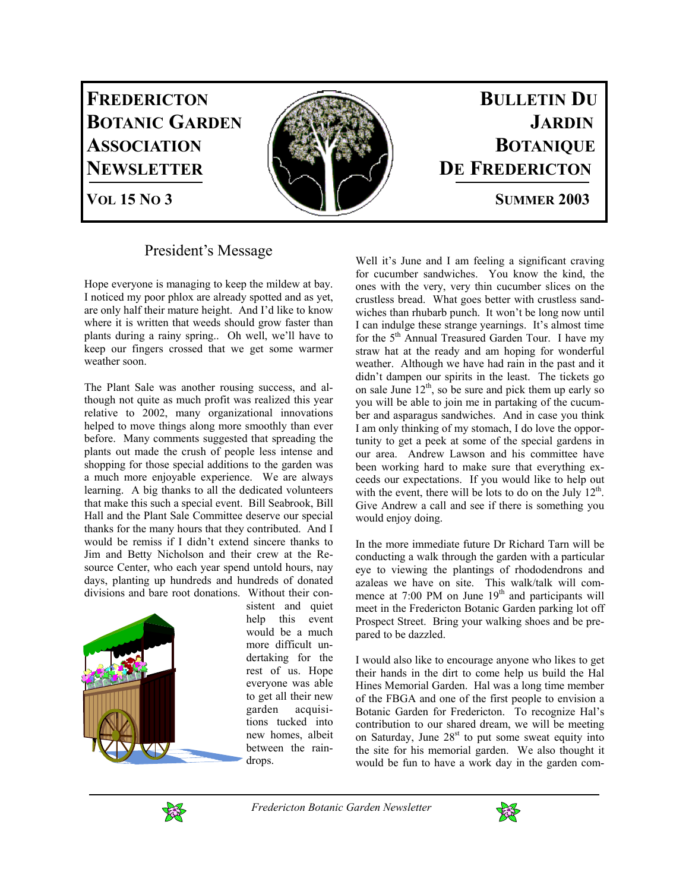# **FREDERICTON BULLETIN DU BOTANIC GARDEN JARDIN JARDIN** ASSOCIATION **ASSOCIATION NEWSLETTER WEIGHT DE FREDERICTON**



# VOL 15 NO 3 SUMMER 2003

# President's Message

Hope everyone is managing to keep the mildew at bay. I noticed my poor phlox are already spotted and as yet, are only half their mature height. And I'd like to know where it is written that weeds should grow faster than plants during a rainy spring.. Oh well, we'll have to keep our fingers crossed that we get some warmer weather soon.

The Plant Sale was another rousing success, and although not quite as much profit was realized this year relative to 2002, many organizational innovations helped to move things along more smoothly than ever before. Many comments suggested that spreading the plants out made the crush of people less intense and shopping for those special additions to the garden was a much more enjoyable experience. We are always learning. A big thanks to all the dedicated volunteers that make this such a special event. Bill Seabrook, Bill Hall and the Plant Sale Committee deserve our special thanks for the many hours that they contributed. And I would be remiss if I didn't extend sincere thanks to Jim and Betty Nicholson and their crew at the Resource Center, who each year spend untold hours, nay days, planting up hundreds and hundreds of donated divisions and bare root donations. Without their con-



sistent and quiet help this event would be a much more difficult undertaking for the rest of us. Hope everyone was able to get all their new garden acquisitions tucked into new homes, albeit between the raindrops.

Well it's June and I am feeling a significant craving for cucumber sandwiches. You know the kind, the ones with the very, very thin cucumber slices on the crustless bread. What goes better with crustless sandwiches than rhubarb punch. It won't be long now until I can indulge these strange yearnings. It's almost time for the 5<sup>th</sup> Annual Treasured Garden Tour. I have my straw hat at the ready and am hoping for wonderful weather. Although we have had rain in the past and it didn't dampen our spirits in the least. The tickets go on sale June  $12<sup>th</sup>$ , so be sure and pick them up early so you will be able to join me in partaking of the cucumber and asparagus sandwiches. And in case you think I am only thinking of my stomach, I do love the opportunity to get a peek at some of the special gardens in our area. Andrew Lawson and his committee have been working hard to make sure that everything exceeds our expectations. If you would like to help out with the event, there will be lots to do on the July  $12<sup>th</sup>$ . Give Andrew a call and see if there is something you would enjoy doing.

In the more immediate future Dr Richard Tarn will be conducting a walk through the garden with a particular eye to viewing the plantings of rhododendrons and azaleas we have on site. This walk/talk will commence at  $7:00 \text{ PM}$  on June  $19^{\text{th}}$  and participants will meet in the Fredericton Botanic Garden parking lot off Prospect Street. Bring your walking shoes and be prepared to be dazzled.

I would also like to encourage anyone who likes to get their hands in the dirt to come help us build the Hal Hines Memorial Garden. Hal was a long time member of the FBGA and one of the first people to envision a Botanic Garden for Fredericton. To recognize Hal's contribution to our shared dream, we will be meeting on Saturday, June  $28<sup>st</sup>$  to put some sweat equity into the site for his memorial garden. We also thought it would be fun to have a work day in the garden com-



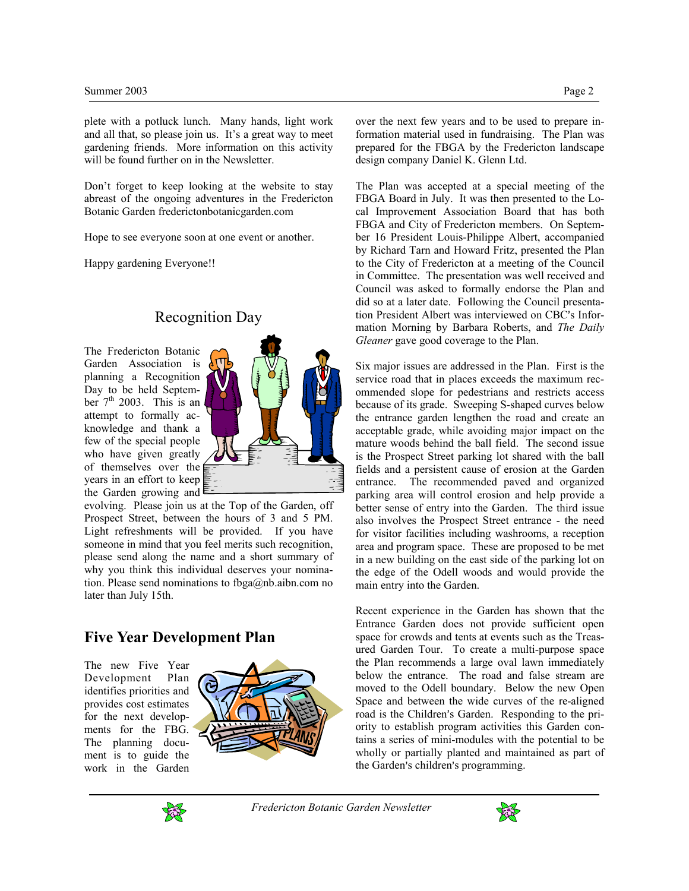#### Summer 2003 Page 2

plete with a potluck lunch. Many hands, light work and all that, so please join us. It's a great way to meet gardening friends. More information on this activity will be found further on in the Newsletter.

Don't forget to keep looking at the website to stay abreast of the ongoing adventures in the Fredericton Botanic Garden frederictonbotanicgarden.com

Hope to see everyone soon at one event or another.

Happy gardening Everyone!!

## Recognition Day

The Fredericton Botanic Garden Association is planning a Recognition Day to be held September  $7<sup>th</sup>$  2003. This is an attempt to formally acknowledge and thank a few of the special people who have given greatly of themselves over the years in an effort to keep the Garden growing and



evolving. Please join us at the Top of the Garden, off Prospect Street, between the hours of 3 and 5 PM. Light refreshments will be provided. If you have someone in mind that you feel merits such recognition, please send along the name and a short summary of why you think this individual deserves your nomination. Please send nominations to fbga@nb.aibn.com no later than July 15th.

# **Five Year Development Plan**

The new Five Year Development Plan identifies priorities and provides cost estimates for the next developments for the FBG. The planning document is to guide the work in the Garden



over the next few years and to be used to prepare information material used in fundraising. The Plan was prepared for the FBGA by the Fredericton landscape design company Daniel K. Glenn Ltd.

The Plan was accepted at a special meeting of the FBGA Board in July. It was then presented to the Local Improvement Association Board that has both FBGA and City of Fredericton members. On September 16 President Louis-Philippe Albert, accompanied by Richard Tarn and Howard Fritz, presented the Plan to the City of Fredericton at a meeting of the Council in Committee. The presentation was well received and Council was asked to formally endorse the Plan and did so at a later date. Following the Council presentation President Albert was interviewed on CBC's Information Morning by Barbara Roberts, and *The Daily Gleaner* gave good coverage to the Plan.

Six major issues are addressed in the Plan. First is the service road that in places exceeds the maximum recommended slope for pedestrians and restricts access because of its grade. Sweeping S-shaped curves below the entrance garden lengthen the road and create an acceptable grade, while avoiding major impact on the mature woods behind the ball field. The second issue is the Prospect Street parking lot shared with the ball fields and a persistent cause of erosion at the Garden entrance. The recommended paved and organized parking area will control erosion and help provide a better sense of entry into the Garden. The third issue also involves the Prospect Street entrance - the need for visitor facilities including washrooms, a reception area and program space. These are proposed to be met in a new building on the east side of the parking lot on the edge of the Odell woods and would provide the main entry into the Garden.

Recent experience in the Garden has shown that the Entrance Garden does not provide sufficient open space for crowds and tents at events such as the Treasured Garden Tour. To create a multi-purpose space the Plan recommends a large oval lawn immediately below the entrance. The road and false stream are moved to the Odell boundary. Below the new Open Space and between the wide curves of the re-aligned road is the Children's Garden. Responding to the priority to establish program activities this Garden contains a series of mini-modules with the potential to be wholly or partially planted and maintained as part of the Garden's children's programming.



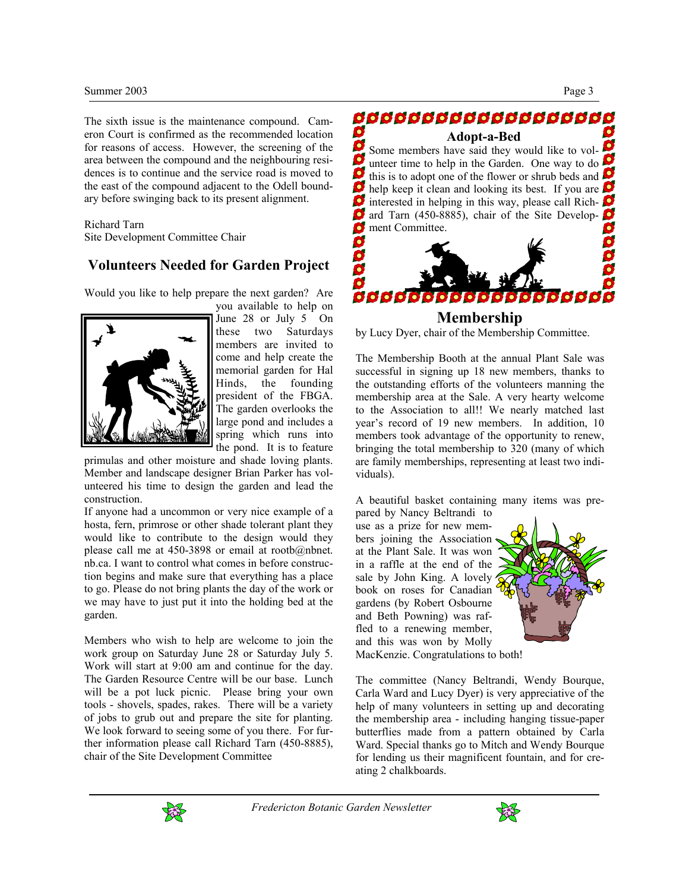#### Summer 2003 Page 3

The sixth issue is the maintenance compound. Cameron Court is confirmed as the recommended location for reasons of access. However, the screening of the area between the compound and the neighbouring residences is to continue and the service road is moved to the east of the compound adjacent to the Odell boundary before swinging back to its present alignment.

Richard Tarn Site Development Committee Chair

# **Volunteers Needed for Garden Project**

Would you like to help prepare the next garden? Are



you available to help on June 28 or July 5 On these two Saturdays members are invited to come and help create the memorial garden for Hal Hinds, the founding president of the FBGA. The garden overlooks the large pond and includes a spring which runs into the pond. It is to feature

primulas and other moisture and shade loving plants. Member and landscape designer Brian Parker has volunteered his time to design the garden and lead the construction.

If anyone had a uncommon or very nice example of a hosta, fern, primrose or other shade tolerant plant they would like to contribute to the design would they please call me at 450-3898 or email at rootb@nbnet. nb.ca. I want to control what comes in before construction begins and make sure that everything has a place to go. Please do not bring plants the day of the work or we may have to just put it into the holding bed at the garden.

Members who wish to help are welcome to join the work group on Saturday June 28 or Saturday July 5. Work will start at 9:00 am and continue for the day. The Garden Resource Centre will be our base. Lunch will be a pot luck picnic. Please bring your own tools - shovels, spades, rakes. There will be a variety of jobs to grub out and prepare the site for planting. We look forward to seeing some of you there. For further information please call Richard Tarn (450-8885), chair of the Site Development Committee



by Lucy Dyer, chair of the Membership Committee.

The Membership Booth at the annual Plant Sale was successful in signing up 18 new members, thanks to the outstanding efforts of the volunteers manning the membership area at the Sale. A very hearty welcome to the Association to all!! We nearly matched last year's record of 19 new members. In addition, 10 members took advantage of the opportunity to renew, bringing the total membership to 320 (many of which are family memberships, representing at least two individuals).

A beautiful basket containing many items was prepared by Nancy Beltrandi to

use as a prize for new members joining the Association at the Plant Sale. It was won in a raffle at the end of the sale by John King. A lovely book on roses for Canadian gardens (by Robert Osbourne and Beth Powning) was raffled to a renewing member, and this was won by Molly MacKenzie. Congratulations to both!



The committee (Nancy Beltrandi, Wendy Bourque, Carla Ward and Lucy Dyer) is very appreciative of the help of many volunteers in setting up and decorating the membership area - including hanging tissue-paper butterflies made from a pattern obtained by Carla Ward. Special thanks go to Mitch and Wendy Bourque for lending us their magnificent fountain, and for creating 2 chalkboards.



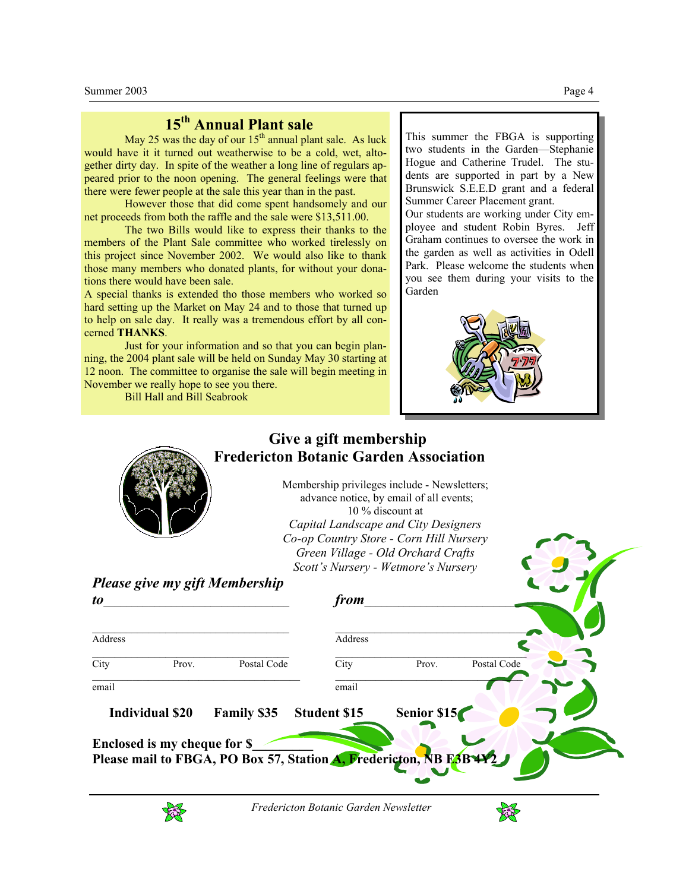# **15th Annual Plant sale**

May 25 was the day of our  $15<sup>th</sup>$  annual plant sale. As luck would have it it turned out weatherwise to be a cold, wet, altogether dirty day. In spite of the weather a long line of regulars appeared prior to the noon opening. The general feelings were that there were fewer people at the sale this year than in the past.

However those that did come spent handsomely and our net proceeds from both the raffle and the sale were \$13,511.00.

The two Bills would like to express their thanks to the members of the Plant Sale committee who worked tirelessly on this project since November 2002. We would also like to thank those many members who donated plants, for without your donations there would have been sale.

A special thanks is extended tho those members who worked so hard setting up the Market on May 24 and to those that turned up to help on sale day. It really was a tremendous effort by all concerned **THANKS**.

Just for your information and so that you can begin planning, the 2004 plant sale will be held on Sunday May 30 starting at 12 noon. The committee to organise the sale will begin meeting in November we really hope to see you there.

Bill Hall and Bill Seabrook

#### This summer the FBGA is supporting two students in the Garden—Stephanie Hogue and Catherine Trudel. The students are supported in part by a New Brunswick S.E.E.D grant and a federal Summer Career Placement grant. Our students are working under City employee and student Robin Byres. Jeff Graham continues to oversee the work in the garden as well as activities in Odell

Park. Please welcome the students when you see them during your visits to the Garden



# **Give a gift membership Fredericton Botanic Garden Association** Membership privileges include - Newsletters; advance notice, by email of all events; 10 % discount at  *Capital Landscape and City Designers Co-op Country Store - Corn Hill Nursery Green Village - Old Orchard Crafts Scott's Nursery - Wetmore's Nursery Please give my gift Membership to*\_\_\_\_\_\_\_\_\_\_\_\_\_\_\_\_\_\_\_\_\_\_\_\_\_\_\_\_\_\_\_\_\_ *from*\_\_\_\_\_\_\_\_\_\_\_\_\_\_\_\_\_\_\_\_\_\_\_\_\_\_\_\_\_\_  $\mathcal{L}=\mathcal{L}=\mathcal{L}=\mathcal{L}=\mathcal{L}=\mathcal{L}=\mathcal{L}=\mathcal{L}=\mathcal{L}=\mathcal{L}=\mathcal{L}=\mathcal{L}=\mathcal{L}=\mathcal{L}=\mathcal{L}=\mathcal{L}=\mathcal{L}=\mathcal{L}=\mathcal{L}=\mathcal{L}=\mathcal{L}=\mathcal{L}=\mathcal{L}=\mathcal{L}=\mathcal{L}=\mathcal{L}=\mathcal{L}=\mathcal{L}=\mathcal{L}=\mathcal{L}=\mathcal{L}=\mathcal{L}=\mathcal{L}=\mathcal{L}=\mathcal{L}=\mathcal{L}=\mathcal{$ Address Address  $\mathcal{L}$  , the contribution of the contribution of the contribution of the contribution of the contribution of the contribution of the contribution of the contribution of the contribution of the contribution of the contri City Prov. Postal Code City Prov. Postal Code  $\overline{\phantom{a}}$ email email  **Individual \$20 Family \$35 Student \$15 Senior \$15 Enclosed is my cheque for \$\_\_\_\_\_\_\_\_\_**  Please mail to FBGA, PO Box 57, Station A, Fredericton,



 *Fredericton Botanic Garden Newsletter*